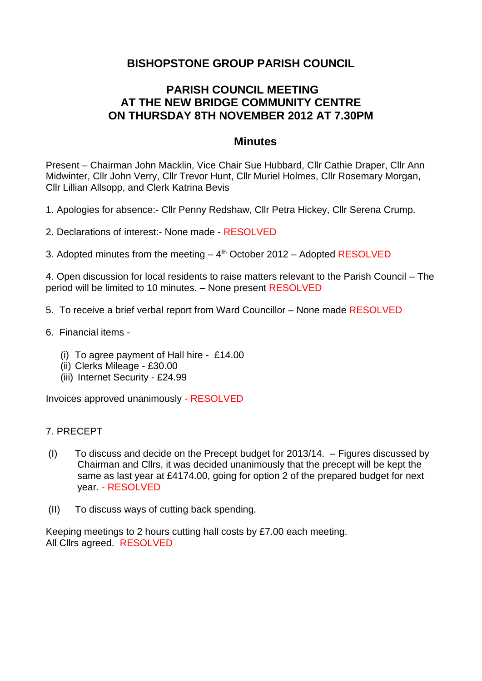## **BISHOPSTONE GROUP PARISH COUNCIL**

## **PARISH COUNCIL MEETING AT THE NEW BRIDGE COMMUNITY CENTRE ON THURSDAY 8TH NOVEMBER 2012 AT 7.30PM**

## **Minutes**

Present – Chairman John Macklin, Vice Chair Sue Hubbard, Cllr Cathie Draper, Cllr Ann Midwinter, Cllr John Verry, Cllr Trevor Hunt, Cllr Muriel Holmes, Cllr Rosemary Morgan, Cllr Lillian Allsopp, and Clerk Katrina Bevis

1. Apologies for absence:- Cllr Penny Redshaw, Cllr Petra Hickey, Cllr Serena Crump.

- 2. Declarations of interest:- None made RESOLVED
- 3. Adopted minutes from the meeting 4<sup>th</sup> October 2012 Adopted RESOLVED

4. Open discussion for local residents to raise matters relevant to the Parish Council – The period will be limited to 10 minutes. – None present RESOLVED

- 5. To receive a brief verbal report from Ward Councillor None made RESOLVED
- 6. Financial items
	- (i) To agree payment of Hall hire £14.00
	- (ii) Clerks Mileage £30.00
	- (iii) Internet Security £24.99

Invoices approved unanimously - RESOLVED

## 7. PRECEPT

- (I) To discuss and decide on the Precept budget for 2013/14. Figures discussed by Chairman and Cllrs, it was decided unanimously that the precept will be kept the same as last year at £4174.00, going for option 2 of the prepared budget for next year. - RESOLVED
- (II) To discuss ways of cutting back spending.

Keeping meetings to 2 hours cutting hall costs by £7.00 each meeting. All Cllrs agreed. RESOLVED